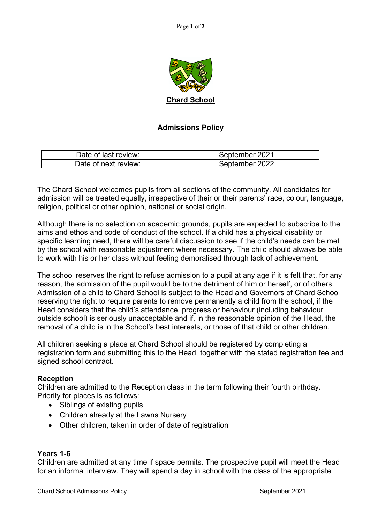

# **Admissions Policy**

| Date of last review: | September 2021 |
|----------------------|----------------|
| Date of next review: | September 2022 |

The Chard School welcomes pupils from all sections of the community. All candidates for admission will be treated equally, irrespective of their or their parents' race, colour, language, religion, political or other opinion, national or social origin.

Although there is no selection on academic grounds, pupils are expected to subscribe to the aims and ethos and code of conduct of the school. If a child has a physical disability or specific learning need, there will be careful discussion to see if the child's needs can be met by the school with reasonable adjustment where necessary. The child should always be able to work with his or her class without feeling demoralised through lack of achievement.

The school reserves the right to refuse admission to a pupil at any age if it is felt that, for any reason, the admission of the pupil would be to the detriment of him or herself, or of others. Admission of a child to Chard School is subject to the Head and Governors of Chard School reserving the right to require parents to remove permanently a child from the school, if the Head considers that the child's attendance, progress or behaviour (including behaviour outside school) is seriously unacceptable and if, in the reasonable opinion of the Head, the removal of a child is in the School's best interests, or those of that child or other children.

All children seeking a place at Chard School should be registered by completing a registration form and submitting this to the Head, together with the stated registration fee and signed school contract.

# **Reception**

Children are admitted to the Reception class in the term following their fourth birthday. Priority for places is as follows:

- Siblings of existing pupils
- Children already at the Lawns Nursery
- Other children, taken in order of date of registration

# **Years 1-6**

Children are admitted at any time if space permits. The prospective pupil will meet the Head for an informal interview. They will spend a day in school with the class of the appropriate